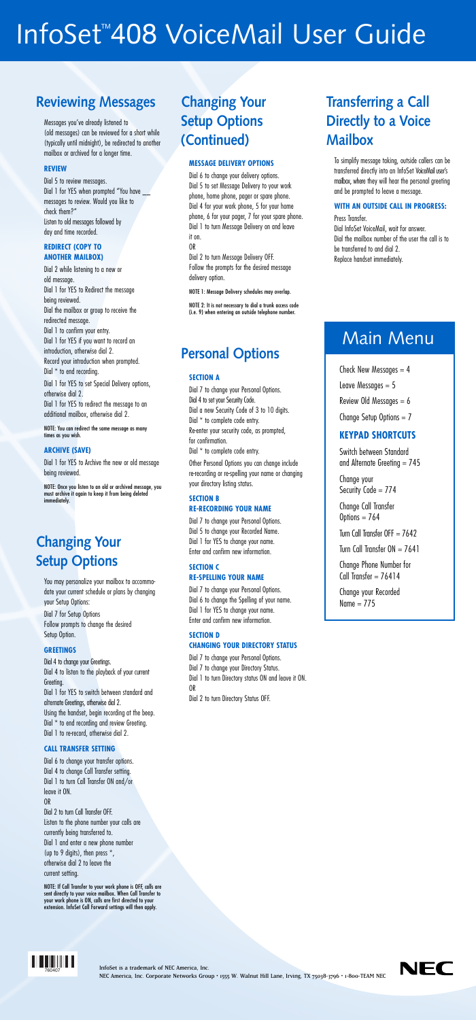## InfoSet<sup>™</sup>408 VoiceMail User Guide

## **Reviewing Messages**

Messages you've already listened to (old messages) can be reviewed for a short while (typically until midnight), be redirected to another mailbox or archived for a longer time.

#### **REVIEW**

Dial 5 to review messages. Dial 1 for YES when prompted "You have messages to review. Would you like to check them?" Listen to old messages followed by day and time recorded.

#### **REDIRECT (COPY TO ANOTHER MAILBOX)**

Dial 2 while listening to a new or old message. Dial 1 for YES to Redirect the message being reviewed. Dial the mailbox or group to receive the redirected message. Dial 1 to confirm your entry. Dial 1 for YES if you want to record an introduction, otherwise dial 2. Record your introduction when prompted. Dial  $*$  to end recording. Dial 1 for YES to set Special Delivery options, otherwise dial 2. Dial 1 for YES to redirect the message to an additional mailbox, otherwise dial 2.

NOTE: You can redirect the same message as many times as you wish.

#### **ARCHIVE (SAVE)**

Dial 1 for YES to Archive the new or old message being reviewed.

NOTE: Once you listen to an old or archived message, you must archive it again to keep it from being deleted immediately.

## **Changing Your Setup Options**

You may personalize your mailbox to accommodate your current schedule or plans by changing your Setup Options:

Dial 7 for Setup Options Follow prompts to change the desired Setup Option.

#### **GREETINGS**

Dial 4 to change your Greetings. Dial 4 to listen to the playback of your current

#### Greeting.

Dial 1 for YES to switch between standard and alternate Greetings, otherwise dial 2. Using the handset, begin recording at the beep. Dial  $*$  to end recording and review Greeting. Dial 1 to re-record, otherwise dial 2.

#### **CALL TRANSFER SETTING**

Dial 6 to change your transfer options. Dial 4 to change Call Transfer setting. Dial 1 to turn Call Transfer ON and/or leave it ON.

#### OR

Dial 2 to turn Call Transfer OFF. Listen to the phone number your calls are currently being transferred to. Dial 1 and enter a new phone number (up to 9 digits), then press \*, otherwise dial 2 to leave the current setting.

NOTE: If Call Transfer to your work phone is OFF, calls are sent directly to your voice mailbox. When Call Transfer to your work phone is ON, calls are first directed to your extension. InfoSet Call Forward settings will then apply.

Switch between Standard and Alternate Greeting  $= 745$ 

Change your Security Code = 774

Change Call Transfer Options  $= 764$ 

Turn Call Transfer OFF  $= 7642$ 

Turn Call Transfer  $ON = 7641$ 

Change Phone Number for Call Transfer  $= 76414$ 

Change your Recorded Name  $= 775$ 

## **Changing Your Setup Options (Continued)**

#### **MESSAGE DELIVERY OPTIONS**

Dial 6 to change your delivery options. Dial 5 to set Message Delivery to your work phone, home phone, pager or spare phone. Dial 4 for your work phone, 5 for your home phone, 6 for your pager, 7 for your spare phone. Dial 1 to turn Message Delivery on and leave it on.

OR

Dial 2 to turn Message Delivery OFF. Follow the prompts for the desired message delivery option.

NOTE 1: Message Delivery schedules may overlap.

NOTE 2: It is not necessary to dial a trunk access code (i.e. 9) when entering an outside telephone number.

## **Personal Options**

#### **SECTION A**

Dial 7 to change your Personal Options. Dial 4 to set your Security Code. Dial a new Security Code of 3 to 10 digits. Dial \* to complete code entry. Re-enter your security code, as prompted, for confirmation. Dial \* to complete code entry.

Other Personal Options you can change include re-recording or re-spelling your name or changing your directory listing status.

#### **SECTION B RE-RECORDING YOUR NAME**

Dial 7 to change your Personal Options. Dial 5 to change your Recorded Name. Dial 1 for YES to change your name. Enter and confirm new information.

#### **SECTION C RE-SPELLING YOUR NAME**

Dial 7 to change your Personal Options. Dial 6 to change the Spelling of your name. Dial 1 for YES to change your name. Enter and confirm new information.

#### **SECTION D CHANGING YOUR DIRECTORY STATUS**

Dial 7 to change your Personal Options. Dial 7 to change your Directory Status. Dial 1 to turn Directory status ON and leave it ON.

OR Dial 2 to turn Directory Status OFF.

NEC America, Inc. Corporate Networks Group · 1555 W. Walnut Hill Lane, Irving, TX 75038-3796 · 1-800-TEAM NEC



## **Transferring a Call Directly to a Voice Mailbox**

To simplify message taking, outside callers can be transferred directly into an InfoSet VoiceMail user's mailbox, where they will hear the personal greeting and be prompted to leave a message.

#### **WITH AN OUTSIDE CALL IN PROGRESS:**

Press Transfer.

Dial InfoSet VoiceMail, wait for answer. Dial the mailbox number of the user the call is to be transferred to and dial 2. Replace handset immediately.

## Main Menu

Check New Messages  $= 4$ Leave Messages  $= 5$ Review Old Messages  $= 6$ 

Change Setup Options  $= 7$ 

### **KEYPAD SHORTCUTS**

InfoSet is a trademark of NEC America, Inc. \